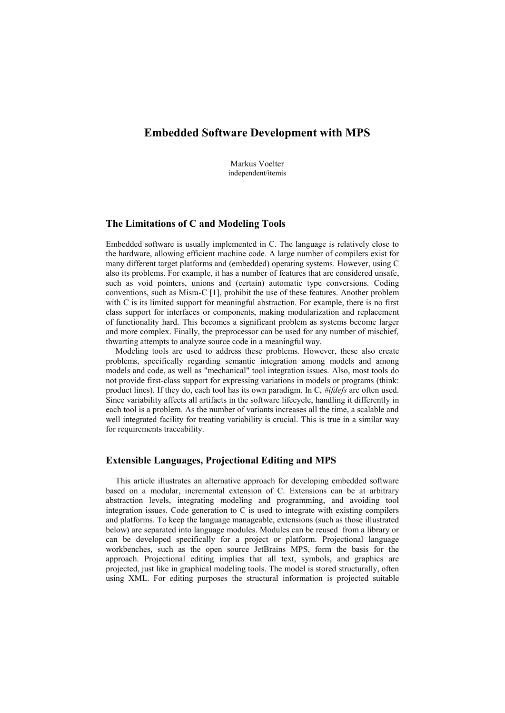# **Embedded Software Development with MPS**

Markus Voelter independent/itemis

### **The Limitations of C and Modeling Tools**

Embedded software is usually implemented in C. The language is relatively close to the hardware, allowing efficient machine code. A large number of compilers exist for many different target platforms and (embedded) operating systems. However, using C also its problems. For example, it has a number of features that are considered unsafe, such as void pointers, unions and (certain) automatic type conversions. Coding conventions, such as Misra-C [1], prohibit the use of these features. Another problem with C is its limited support for meaningful abstraction. For example, there is no first class support for interfaces or components, making modularization and replacement of functionality hard. This becomes a significant problem as systems become larger and more complex. Finally, the preprocessor can be used for any number of mischief, thwarting attempts to analyze source code in a meaningful way.

Modeling tools are used to address these problems. However, these also create problems, specifically regarding semantic integration among models and among models and code, as well as "mechanical" tool integration issues. Also, most tools do not provide first-class support for expressing variations in models or programs (think: product lines). If they do, each tool has its own paradigm. In C, *#ifdefs* are often used. Since variability affects all artifacts in the software lifecycle, handling it differently in each tool is a problem. As the number of variants increases all the time, a scalable and well integrated facility for treating variability is crucial. This is true in a similar way for requirements traceability.

## **Extensible Languages, Projectional Editing and MPS**

This article illustrates an alternative approach for developing embedded software based on a modular, incremental extension of C. Extensions can be at arbitrary abstraction levels, integrating modeling and programming, and avoiding tool integration issues. Code generation to C is used to integrate with existing compilers and platforms. To keep the language manageable, extensions (such as those illustrated below) are separated into language modules. Modules can be reused from a library or can be developed specifically for a project or platform. Projectional language workbenches, such as the open source JetBrains MPS, form the basis for the approach. Projectional editing implies that all text, symbols, and graphics are projected, just like in graphical modeling tools. The model is stored structurally, often using XML. For editing purposes the structural information is projected suitable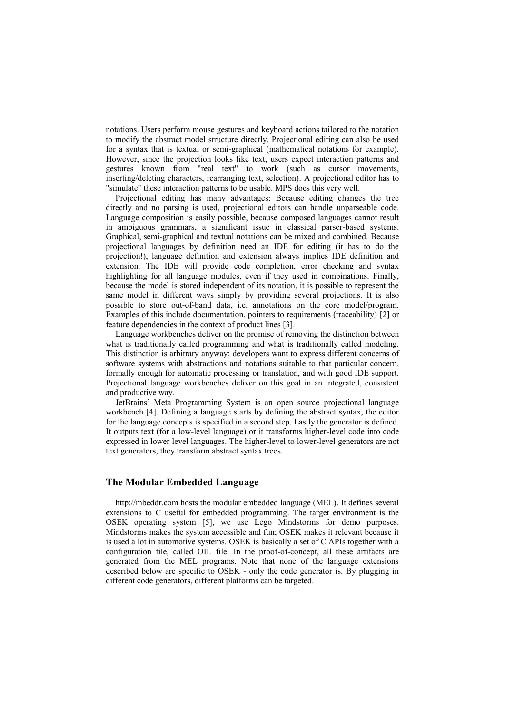notations. Users perform mouse gestures and keyboard actions tailored to the notation to modify the abstract model structure directly. Projectional editing can also be used for a syntax that is textual or semi-graphical (mathematical notations for example). However, since the projection looks like text, users expect interaction patterns and gestures known from "real text" to work (such as cursor movements, inserting/deleting characters, rearranging text, selection). A projectional editor has to "simulate" these interaction patterns to be usable. MPS does this very well.

Projectional editing has many advantages: Because editing changes the tree directly and no parsing is used, projectional editors can handle unparseable code. Language composition is easily possible, because composed languages cannot result in ambiguous grammars, a significant issue in classical parser-based systems. Graphical, semi-graphical and textual notations can be mixed and combined. Because projectional languages by definition need an IDE for editing (it has to do the projection!), language definition and extension always implies IDE definition and extension. The IDE will provide code completion, error checking and syntax highlighting for all language modules, even if they used in combinations. Finally, because the model is stored independent of its notation, it is possible to represent the same model in different ways simply by providing several projections. It is also possible to store out-of-band data, i.e. annotations on the core model/program. Examples of this include documentation, pointers to requirements (traceability) [2] or feature dependencies in the context of product lines [3].

Language workbenches deliver on the promise of removing the distinction between what is traditionally called programming and what is traditionally called modeling. This distinction is arbitrary anyway: developers want to express different concerns of software systems with abstractions and notations suitable to that particular concern, formally enough for automatic processing or translation, and with good IDE support. Projectional language workbenches deliver on this goal in an integrated, consistent and productive way.

JetBrains' Meta Programming System is an open source projectional language workbench [4]. Defining a language starts by defining the abstract syntax, the editor for the language concepts is specified in a second step. Lastly the generator is defined. It outputs text (for a low-level language) or it transforms higher-level code into code expressed in lower level languages. The higher-level to lower-level generators are not text generators, they transform abstract syntax trees.

## **The Modular Embedded Language**

http://mbeddr.com hosts the modular embedded language (MEL). It defines several extensions to C useful for embedded programming. The target environment is the OSEK operating system [5], we use Lego Mindstorms for demo purposes. Mindstorms makes the system accessible and fun; OSEK makes it relevant because it is used a lot in automotive systems. OSEK is basically a set of C APIs together with a configuration file, called OIL file. In the proof-of-concept, all these artifacts are generated from the MEL programs. Note that none of the language extensions described below are specific to OSEK - only the code generator is. By plugging in different code generators, different platforms can be targeted.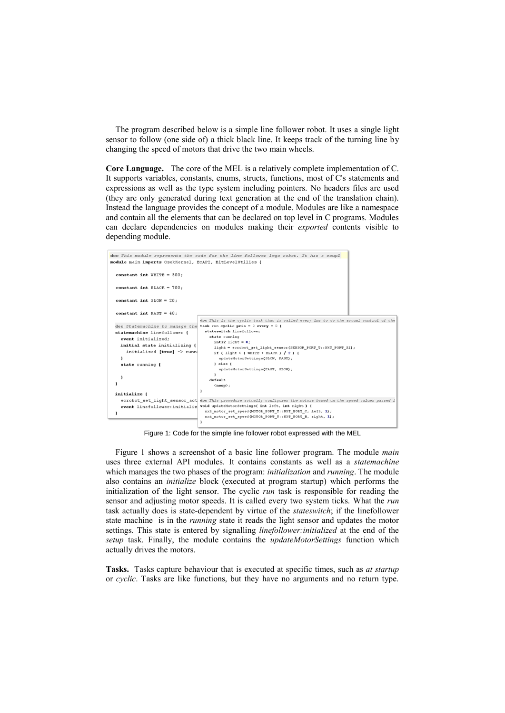The program described below is a simple line follower robot. It uses a single light sensor to follow (one side of) a thick black line. It keeps track of the turning line by changing the speed of motors that drive the two main wheels.

**Core Language.** The core of the MEL is a relatively complete implementation of C. It supports variables, constants, enums, structs, functions, most of C's statements and expressions as well as the type system including pointers. No headers files are used (they are only generated during text generation at the end of the translation chain). Instead the language provides the concept of a module. Modules are like a namespace and contain all the elements that can be declared on top level in C programs. Modules can declare dependencies on modules making their *exported* contents visible to depending module.



Figure 1: Code for the simple line follower robot expressed with the MEL

Figure 1 shows a screenshot of a basic line follower program. The module *main* uses three external API modules. It contains constants as well as a *statemachine* which manages the two phases of the program: *initialization* and *running*. The module also contains an *initialize* block (executed at program startup) which performs the initialization of the light sensor. The cyclic *run* task is responsible for reading the sensor and adjusting motor speeds. It is called every two system ticks. What the *run* task actually does is state-dependent by virtue of the *stateswitch*; if the linefollower state machine is in the *running* state it reads the light sensor and updates the motor settings. This state is entered by signalling *linefollower:initialized* at the end of the *setup* task. Finally, the module contains the *updateMotorSettings* function which actually drives the motors.

**Tasks.** Tasks capture behaviour that is executed at specific times, such as *at startup* or *cyclic*. Tasks are like functions, but they have no arguments and no return type.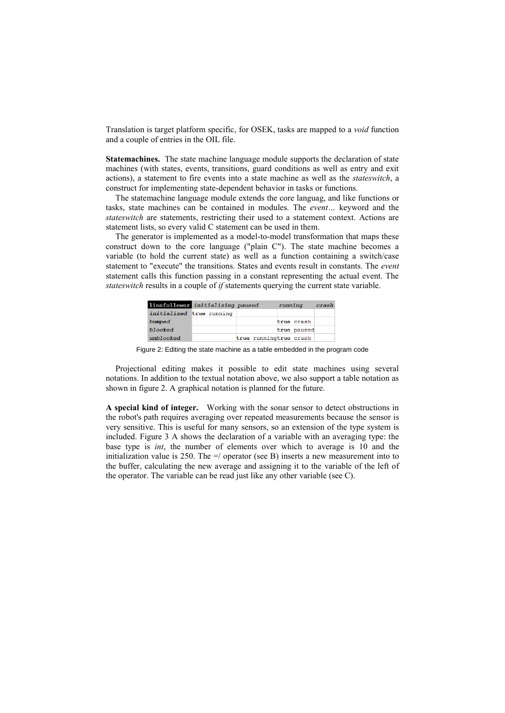Translation is target platform specific, for OSEK, tasks are mapped to a *void* function and a couple of entries in the OIL file.

**Statemachines.** The state machine language module supports the declaration of state machines (with states, events, transitions, guard conditions as well as entry and exit actions), a statement to fire events into a state machine as well as the *stateswitch*, a construct for implementing state-dependent behavior in tasks or functions.

The statemachine language module extends the core languag, and like functions or tasks, state machines can be contained in modules. The *event…* keyword and the *stateswitch* are statements, restricting their used to a statement context. Actions are statement lists, so every valid C statement can be used in them.

The generator is implemented as a model-to-model transformation that maps these construct down to the core language ("plain C"). The state machine becomes a variable (to hold the current state) as well as a function containing a switch/case statement to "execute" the transitions. States and events result in constants. The *event* statement calls this function passing in a constant representing the actual event. The *stateswitch* results in a couple of *if* statements querying the current state variable.

| linefollower initializing paused |  |                        | running     | crash |
|----------------------------------|--|------------------------|-------------|-------|
| initialized true running         |  |                        |             |       |
| bumped                           |  |                        | true crash  |       |
| blocked                          |  |                        | true paused |       |
| unblocked                        |  | true runningtrue crash |             |       |

Figure 2: Editing the state machine as a table embedded in the program code

Projectional editing makes it possible to edit state machines using several notations. In addition to the textual notation above, we also support a table notation as shown in figure 2. A graphical notation is planned for the future.

**A special kind of integer.** Working with the sonar sensor to detect obstructions in the robot's path requires averaging over repeated measurements because the sensor is very sensitive. This is useful for many sensors, so an extension of the type system is included. Figure 3 A shows the declaration of a variable with an averaging type: the base type is *int*, the number of elements over which to average is 10 and the initialization value is 250. The  $=$ / operator (see B) inserts a new measurement into to the buffer, calculating the new average and assigning it to the variable of the left of the operator. The variable can be read just like any other variable (see C).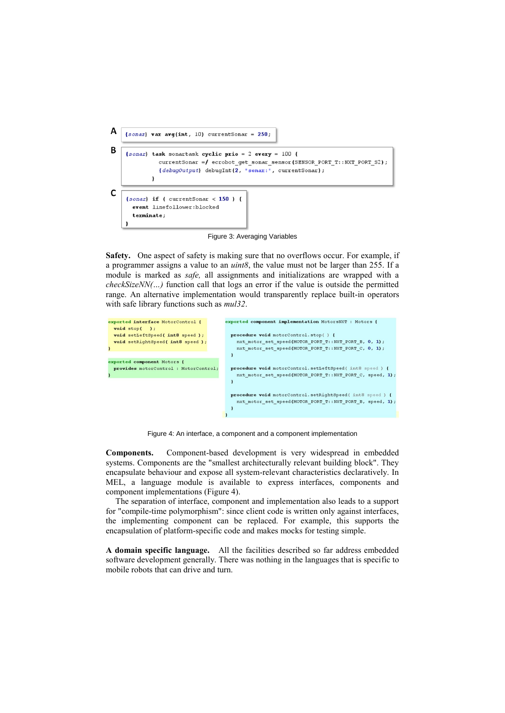

Figure 3: Averaging Variables

**Safety.** One aspect of safety is making sure that no overflows occur. For example, if a programmer assigns a value to an *uint8*, the value must not be larger than 255. If a module is marked as *safe,* all assignments and initializations are wrapped with a *checkSizeNN(…)* function call that logs an error if the value is outside the permitted range. An alternative implementation would transparently replace built-in operators with safe library functions such as *mul32*.

| exported interface MotorControl {<br>$void stop()$ ;<br>void setLeftSpeed(int8 speed); | exported component implementation MotorsNXT : Motors {<br>procedure void motorControl.stop() { |
|----------------------------------------------------------------------------------------|------------------------------------------------------------------------------------------------|
|                                                                                        |                                                                                                |
| void setRightSpeed(int8 speed);                                                        | nxt motor set speed (MOTOR PORT T:: NXT PORT B, 0, 1);                                         |
|                                                                                        | nxt motor set speed (MOTOR PORT T:: NXT PORT C, 0, 1);                                         |
|                                                                                        |                                                                                                |
| exported component Motors {                                                            |                                                                                                |
| provides motorControl : MotorControl;                                                  | procedure void motorControl.setLeftSpeed(int8 speed) {                                         |
|                                                                                        | nxt motor set speed (MOTOR PORT T:: NXT PORT C, speed, 1);                                     |
|                                                                                        |                                                                                                |
|                                                                                        | procedure void motorControl.setRightSpeed(int8 speed) {                                        |
|                                                                                        | nxt motor set speed (MOTOR PORT T:: NXT PORT B, speed, 1);                                     |
|                                                                                        |                                                                                                |
|                                                                                        |                                                                                                |
|                                                                                        |                                                                                                |

Figure 4: An interface, a component and a component implementation

**Components.** Component-based development is very widespread in embedded systems. Components are the "smallest architecturally relevant building block". They encapsulate behaviour and expose all system-relevant characteristics declaratively. In MEL, a language module is available to express interfaces, components and component implementations (Figure 4).

The separation of interface, component and implementation also leads to a support for "compile-time polymorphism": since client code is written only against interfaces, the implementing component can be replaced. For example, this supports the encapsulation of platform-specific code and makes mocks for testing simple.

**A domain specific language.** All the facilities described so far address embedded software development generally. There was nothing in the languages that is specific to mobile robots that can drive and turn.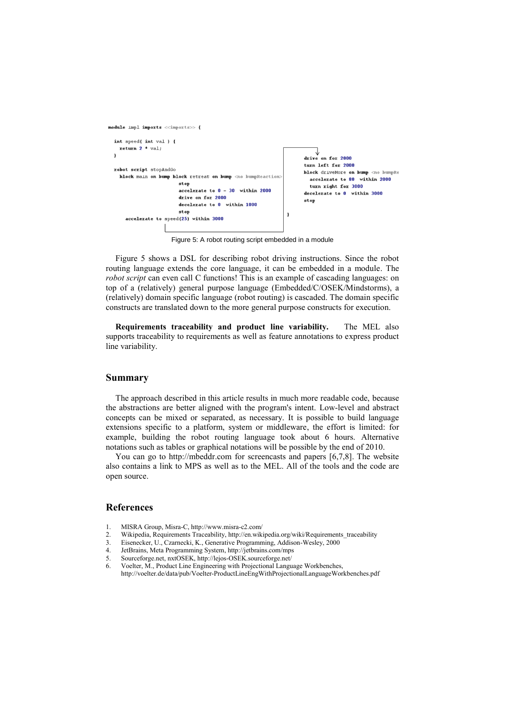

Figure 5: A robot routing script embedded in a module

Figure 5 shows a DSL for describing robot driving instructions. Since the robot routing language extends the core language, it can be embedded in a module. The *robot script* can even call C functions! This is an example of cascading languages: on top of a (relatively) general purpose language (Embedded/C/OSEK/Mindstorms), a (relatively) domain specific language (robot routing) is cascaded. The domain specific constructs are translated down to the more general purpose constructs for execution.

**Requirements traceability and product line variability.** The MEL also supports traceability to requirements as well as feature annotations to express product line variability.

#### **Summary**

The approach described in this article results in much more readable code, because the abstractions are better aligned with the program's intent. Low-level and abstract concepts can be mixed or separated, as necessary. It is possible to build language extensions specific to a platform, system or middleware, the effort is limited: for example, building the robot routing language took about 6 hours. Alternative notations such as tables or graphical notations will be possible by the end of 2010.

You can go to http://mbeddr.com for screencasts and papers [6,7,8]. The website also contains a link to MPS as well as to the MEL. All of the tools and the code are open source.

#### **References**

- 1. MISRA Group, Misra-C, http://www.misra-c2.com/
- 2. Wikipedia, Requirements Traceability, http://en.wikipedia.org/wiki/Requirements\_traceability<br>3. Eisenecker. U., Czarnecki, K., Generative Programming, Addison-Wesley, 2000
- Eisenecker, U., Czarnecki, K., Generative Programming, Addison-Wesley, 2000
- 4. JetBrains, Meta Programming System, http://jetbrains.com/mps
- 5. Sourceforge.net, nxtOSEK, http://lejos-OSEK.sourceforge.net/<br>6. Voelter M. Product Line Engineering with Projectional Langu
- Voelter, M., Product Line Engineering with Projectional Language Workbenches,
- http://voelter.de/data/pub/Voelter-ProductLineEngWithProjectionalLanguageWorkbenches.pdf